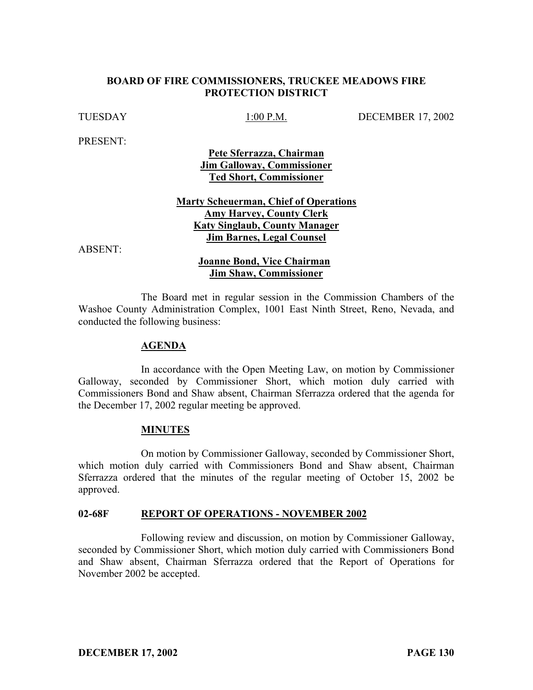## **BOARD OF FIRE COMMISSIONERS, TRUCKEE MEADOWS FIRE PROTECTION DISTRICT**

TUESDAY 1:00 P.M. DECEMBER 17, 2002

PRESENT:

**Pete Sferrazza, Chairman Jim Galloway, Commissioner Ted Short, Commissioner**

**Marty Scheuerman, Chief of Operations Amy Harvey, County Clerk Katy Singlaub, County Manager Jim Barnes, Legal Counsel**

ABSENT:

### **Joanne Bond, Vice Chairman Jim Shaw, Commissioner**

The Board met in regular session in the Commission Chambers of the Washoe County Administration Complex, 1001 East Ninth Street, Reno, Nevada, and conducted the following business:

#### **AGENDA**

In accordance with the Open Meeting Law, on motion by Commissioner Galloway, seconded by Commissioner Short, which motion duly carried with Commissioners Bond and Shaw absent, Chairman Sferrazza ordered that the agenda for the December 17, 2002 regular meeting be approved.

#### **MINUTES**

On motion by Commissioner Galloway, seconded by Commissioner Short, which motion duly carried with Commissioners Bond and Shaw absent, Chairman Sferrazza ordered that the minutes of the regular meeting of October 15, 2002 be approved.

#### **02-68F REPORT OF OPERATIONS - NOVEMBER 2002**

Following review and discussion, on motion by Commissioner Galloway, seconded by Commissioner Short, which motion duly carried with Commissioners Bond and Shaw absent, Chairman Sferrazza ordered that the Report of Operations for November 2002 be accepted.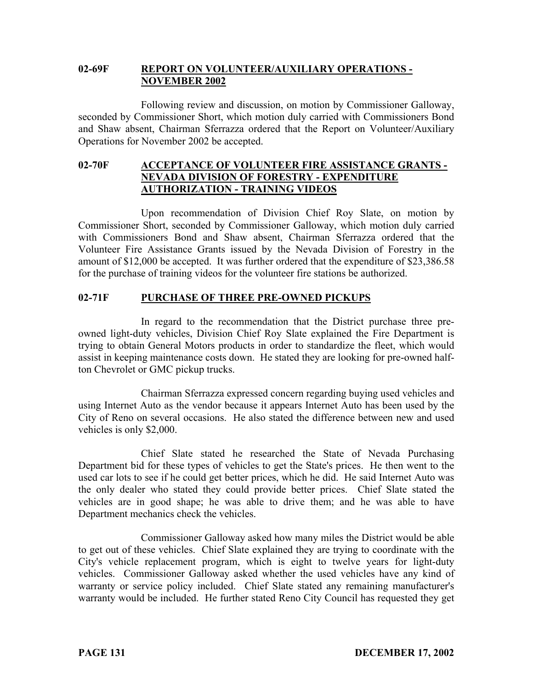## **02-69F REPORT ON VOLUNTEER/AUXILIARY OPERATIONS - NOVEMBER 2002**

Following review and discussion, on motion by Commissioner Galloway, seconded by Commissioner Short, which motion duly carried with Commissioners Bond and Shaw absent, Chairman Sferrazza ordered that the Report on Volunteer/Auxiliary Operations for November 2002 be accepted.

## **02-70F ACCEPTANCE OF VOLUNTEER FIRE ASSISTANCE GRANTS - NEVADA DIVISION OF FORESTRY - EXPENDITURE AUTHORIZATION - TRAINING VIDEOS**

Upon recommendation of Division Chief Roy Slate, on motion by Commissioner Short, seconded by Commissioner Galloway, which motion duly carried with Commissioners Bond and Shaw absent, Chairman Sferrazza ordered that the Volunteer Fire Assistance Grants issued by the Nevada Division of Forestry in the amount of \$12,000 be accepted. It was further ordered that the expenditure of \$23,386.58 for the purchase of training videos for the volunteer fire stations be authorized.

# **02-71F PURCHASE OF THREE PRE-OWNED PICKUPS**

In regard to the recommendation that the District purchase three preowned light-duty vehicles, Division Chief Roy Slate explained the Fire Department is trying to obtain General Motors products in order to standardize the fleet, which would assist in keeping maintenance costs down. He stated they are looking for pre-owned halfton Chevrolet or GMC pickup trucks.

Chairman Sferrazza expressed concern regarding buying used vehicles and using Internet Auto as the vendor because it appears Internet Auto has been used by the City of Reno on several occasions. He also stated the difference between new and used vehicles is only \$2,000.

Chief Slate stated he researched the State of Nevada Purchasing Department bid for these types of vehicles to get the State's prices. He then went to the used car lots to see if he could get better prices, which he did. He said Internet Auto was the only dealer who stated they could provide better prices. Chief Slate stated the vehicles are in good shape; he was able to drive them; and he was able to have Department mechanics check the vehicles.

Commissioner Galloway asked how many miles the District would be able to get out of these vehicles. Chief Slate explained they are trying to coordinate with the City's vehicle replacement program, which is eight to twelve years for light-duty vehicles. Commissioner Galloway asked whether the used vehicles have any kind of warranty or service policy included. Chief Slate stated any remaining manufacturer's warranty would be included. He further stated Reno City Council has requested they get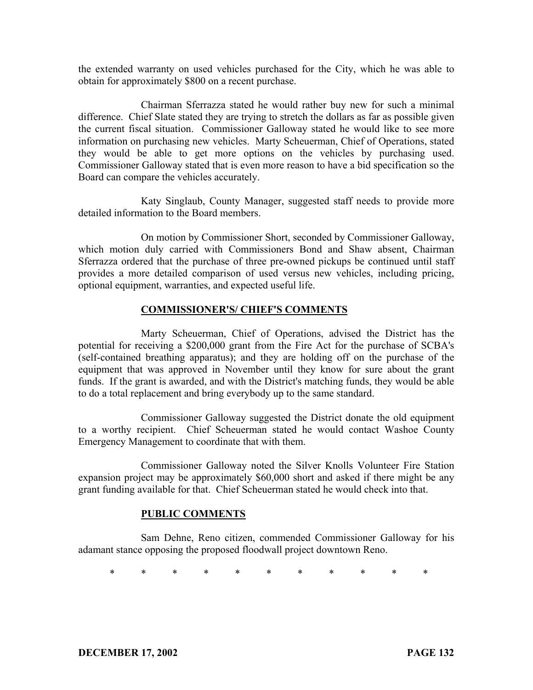the extended warranty on used vehicles purchased for the City, which he was able to obtain for approximately \$800 on a recent purchase.

Chairman Sferrazza stated he would rather buy new for such a minimal difference. Chief Slate stated they are trying to stretch the dollars as far as possible given the current fiscal situation. Commissioner Galloway stated he would like to see more information on purchasing new vehicles. Marty Scheuerman, Chief of Operations, stated they would be able to get more options on the vehicles by purchasing used. Commissioner Galloway stated that is even more reason to have a bid specification so the Board can compare the vehicles accurately.

Katy Singlaub, County Manager, suggested staff needs to provide more detailed information to the Board members.

On motion by Commissioner Short, seconded by Commissioner Galloway, which motion duly carried with Commissioners Bond and Shaw absent, Chairman Sferrazza ordered that the purchase of three pre-owned pickups be continued until staff provides a more detailed comparison of used versus new vehicles, including pricing, optional equipment, warranties, and expected useful life.

#### **COMMISSIONER'S/ CHIEF'S COMMENTS**

Marty Scheuerman, Chief of Operations, advised the District has the potential for receiving a \$200,000 grant from the Fire Act for the purchase of SCBA's (self-contained breathing apparatus); and they are holding off on the purchase of the equipment that was approved in November until they know for sure about the grant funds. If the grant is awarded, and with the District's matching funds, they would be able to do a total replacement and bring everybody up to the same standard.

Commissioner Galloway suggested the District donate the old equipment to a worthy recipient. Chief Scheuerman stated he would contact Washoe County Emergency Management to coordinate that with them.

Commissioner Galloway noted the Silver Knolls Volunteer Fire Station expansion project may be approximately \$60,000 short and asked if there might be any grant funding available for that. Chief Scheuerman stated he would check into that.

## **PUBLIC COMMENTS**

Sam Dehne, Reno citizen, commended Commissioner Galloway for his adamant stance opposing the proposed floodwall project downtown Reno.

\* \* \* \* \* \* \* \* \* \* \*